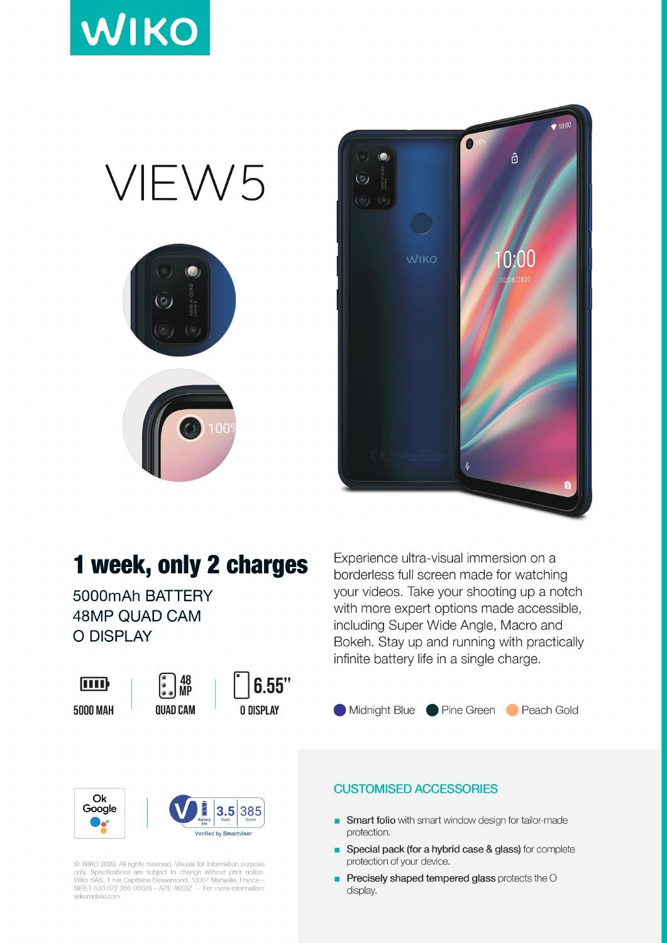





## 1 week, only 2 charges

5000mAh BATTERY **48MP QUAD CAM** O DISPLAY

| ן ווון   |  |  |
|----------|--|--|
| 5000 MAH |  |  |





Experience ultra-visual immersion on a borderless full screen made for watching your videos. Take your shooting up a notch with more expert options made accessible, including Super Wide Angle, Macro and Bokeh. Stay up and running with practically infinite battery life in a single charge.





C WIKO 2020. All rights reserved. Visuals for information purpose only. Specifications are subject to change without prior notice.<br>Wiko SAS, 1 rue Capitaine Dessemond, 13007 Marseille, France –<br>SIRET 530 072 206 00028 – APE 4652Z - For more information: wikomobile.com

## **CUSTOMISED ACCESSORIES**

- Smart folio with smart window design for tailor-made × protection.
- Special pack (for a hybrid case & glass) for complete protection of your device.
- Precisely shaped tempered glass protects the O п display.